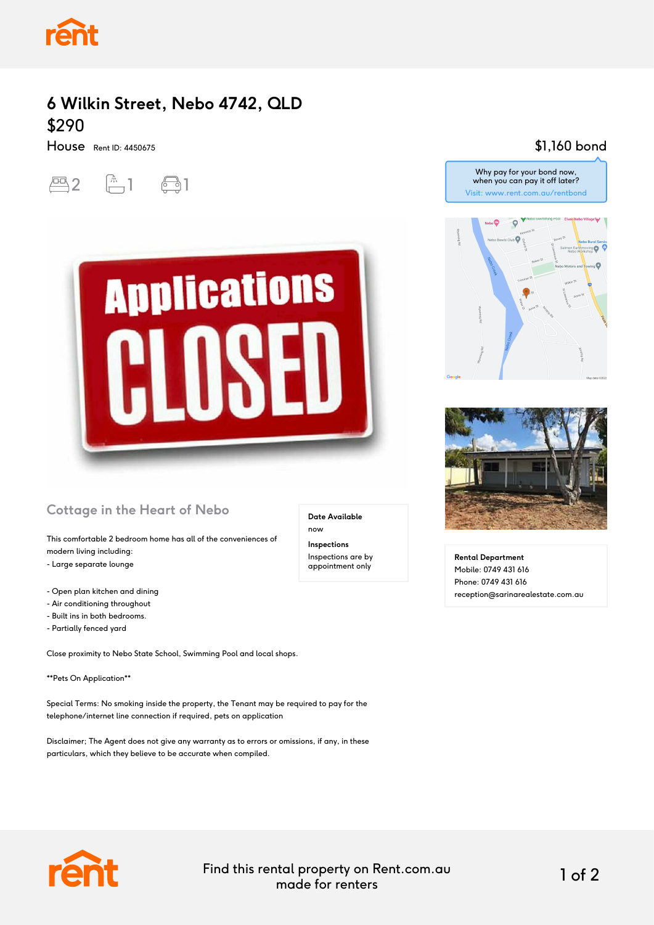

## **6 Wilkin Street, Nebo 4742, QLD** \$290

House Rent ID: 4450675

 $-2$   $-1$   $-1$ 



#### **Cottage in the Heart of Nebo**

This comfortable 2 bedroom home has all of the conveniences of modern living including:

- Large separate lounge
- Open plan kitchen and dining
- Air conditioning throughout
- Built ins in both bedrooms.
- Partially fenced yard

Close proximity to Nebo State School, Swimming Pool and local shops.

\*\*Pets On Application\*\*

Special Terms: No smoking inside the property, the Tenant may be required to pay for the telephone/internet line connection if required, pets on application

Disclaimer; The Agent does not give any warranty as to errors or omissions, if any, in these particulars, which they believe to be accurate when compiled.

### \$1,160 bond



Why pay for your bond now, when you can pay it off later?



**Rental Department** Mobile: 0749 431 616 Phone: 0749 431 616 reception@sarinarealestate.com.au



Find this rental property on Rent.com.au made for renters 1 of 2

**Date Available**

now **Inspections** Inspections are by appointment only